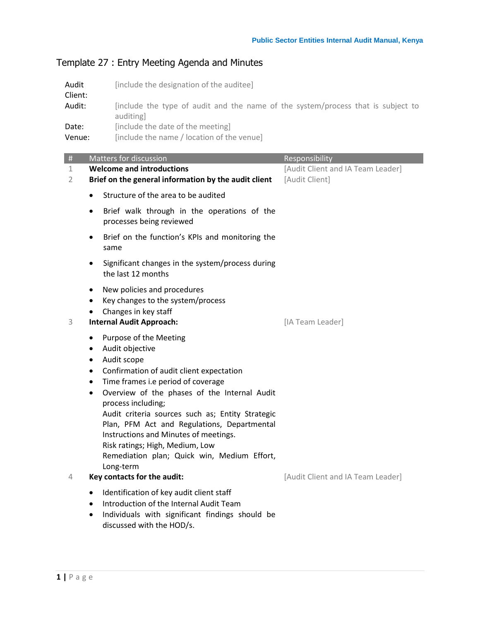## Template 27 : Entry Meeting Agenda and Minutes

| Audit<br>Client: | [include the designation of the auditee]                                                      |
|------------------|-----------------------------------------------------------------------------------------------|
| Audit:           | [include the type of audit and the name of the system/process that is subject to<br>auditing] |
| Date:<br>Venue:  | [include the date of the meeting]<br>[include the name / location of the venue]               |

| $\#$         | <b>Matters for discussion</b>                                                                                                                                                                                                                                                                                                                                                                                                                                                                                                                                    | Responsibility                    |
|--------------|------------------------------------------------------------------------------------------------------------------------------------------------------------------------------------------------------------------------------------------------------------------------------------------------------------------------------------------------------------------------------------------------------------------------------------------------------------------------------------------------------------------------------------------------------------------|-----------------------------------|
| $\mathbf{1}$ | <b>Welcome and introductions</b>                                                                                                                                                                                                                                                                                                                                                                                                                                                                                                                                 | [Audit Client and IA Team Leader] |
| 2            | Brief on the general information by the audit client                                                                                                                                                                                                                                                                                                                                                                                                                                                                                                             | [Audit Client]                    |
|              | Structure of the area to be audited<br>$\bullet$                                                                                                                                                                                                                                                                                                                                                                                                                                                                                                                 |                                   |
|              | Brief walk through in the operations of the<br>$\bullet$<br>processes being reviewed                                                                                                                                                                                                                                                                                                                                                                                                                                                                             |                                   |
|              | Brief on the function's KPIs and monitoring the<br>$\bullet$<br>same                                                                                                                                                                                                                                                                                                                                                                                                                                                                                             |                                   |
|              | Significant changes in the system/process during<br>$\bullet$<br>the last 12 months                                                                                                                                                                                                                                                                                                                                                                                                                                                                              |                                   |
| 3            | New policies and procedures<br>$\bullet$<br>Key changes to the system/process<br>$\bullet$<br>Changes in key staff<br><b>Internal Audit Approach:</b>                                                                                                                                                                                                                                                                                                                                                                                                            | [IA Team Leader]                  |
| 4            | Purpose of the Meeting<br>$\bullet$<br>Audit objective<br>$\bullet$<br>Audit scope<br>٠<br>Confirmation of audit client expectation<br>$\bullet$<br>Time frames i.e period of coverage<br>$\bullet$<br>Overview of the phases of the Internal Audit<br>$\bullet$<br>process including;<br>Audit criteria sources such as; Entity Strategic<br>Plan, PFM Act and Regulations, Departmental<br>Instructions and Minutes of meetings.<br>Risk ratings; High, Medium, Low<br>Remediation plan; Quick win, Medium Effort,<br>Long-term<br>Key contacts for the audit: | [Audit Client and IA Team Leader] |
|              | Identification of key audit client staff<br>$\bullet$<br>Introduction of the Internal Audit Team<br>$\bullet$<br>Individuals with significant findings should be<br>$\bullet$<br>discussed with the HOD/s.                                                                                                                                                                                                                                                                                                                                                       |                                   |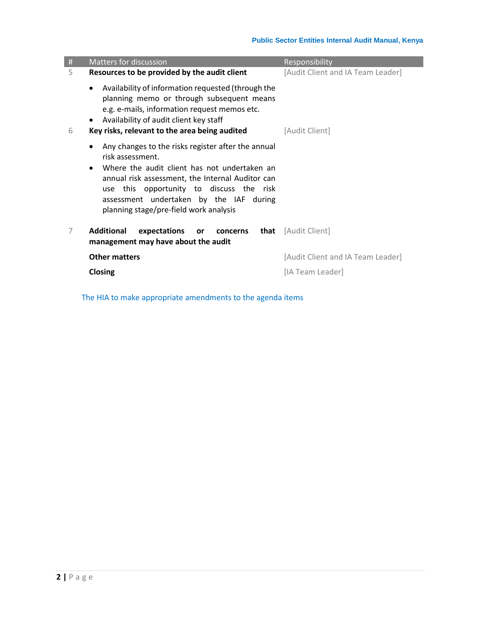## **Public Sector Entities Internal Audit Manual, Kenya**

| # | <b>Matters for discussion</b>                                                                                                                                                                                                                                                                                                 | Responsibility                    |
|---|-------------------------------------------------------------------------------------------------------------------------------------------------------------------------------------------------------------------------------------------------------------------------------------------------------------------------------|-----------------------------------|
| 5 | Resources to be provided by the audit client                                                                                                                                                                                                                                                                                  | [Audit Client and IA Team Leader] |
| 6 | Availability of information requested (through the<br>$\bullet$<br>planning memo or through subsequent means<br>e.g. e-mails, information request memos etc.<br>Availability of audit client key staff<br>$\bullet$<br>Key risks, relevant to the area being audited                                                          | [Audit Client]                    |
|   | Any changes to the risks register after the annual<br>٠<br>risk assessment.<br>Where the audit client has not undertaken an<br>$\bullet$<br>annual risk assessment, the Internal Auditor can<br>use this opportunity to discuss the risk<br>assessment undertaken by the IAF during<br>planning stage/pre-field work analysis |                                   |
| 7 | <b>Additional</b><br>expectations<br><b>or</b><br>concerns<br>management may have about the audit                                                                                                                                                                                                                             | <b>that</b> [Audit Client]        |
|   | <b>Other matters</b>                                                                                                                                                                                                                                                                                                          | [Audit Client and IA Team Leader] |
|   | Closing                                                                                                                                                                                                                                                                                                                       | [IA Team Leader]                  |

The HIA to make appropriate amendments to the agenda items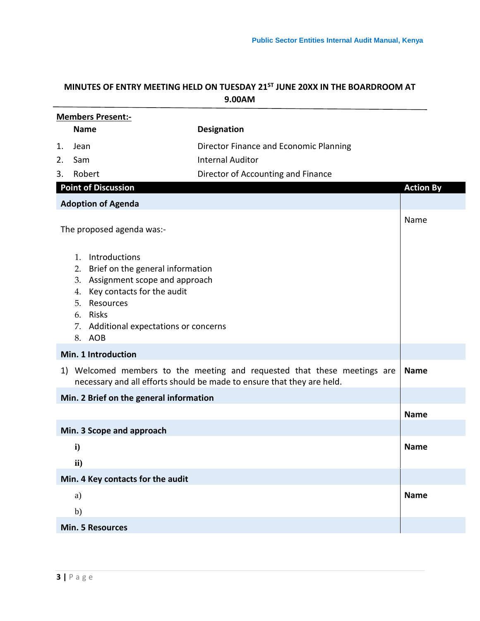| MINUTES OF ENTRY MEETING HELD ON TUESDAY 21 <sup>ST</sup> JUNE 20XX IN THE BOARDROOM AT |
|-----------------------------------------------------------------------------------------|
| 9.00AM                                                                                  |

| <b>Members Present:-</b>                                                                                                                                                                                                                          |                                         |                                        |                  |  |  |
|---------------------------------------------------------------------------------------------------------------------------------------------------------------------------------------------------------------------------------------------------|-----------------------------------------|----------------------------------------|------------------|--|--|
|                                                                                                                                                                                                                                                   | <b>Name</b>                             | <b>Designation</b>                     |                  |  |  |
| 1.                                                                                                                                                                                                                                                | Jean                                    | Director Finance and Economic Planning |                  |  |  |
| 2.                                                                                                                                                                                                                                                | Sam                                     | <b>Internal Auditor</b>                |                  |  |  |
| 3.                                                                                                                                                                                                                                                | Robert                                  | Director of Accounting and Finance     |                  |  |  |
|                                                                                                                                                                                                                                                   | <b>Point of Discussion</b>              |                                        | <b>Action By</b> |  |  |
|                                                                                                                                                                                                                                                   | <b>Adoption of Agenda</b>               |                                        |                  |  |  |
| The proposed agenda was:-                                                                                                                                                                                                                         |                                         |                                        | Name             |  |  |
| Introductions<br>$\mathbf{1}$ .<br>Brief on the general information<br>2.<br>Assignment scope and approach<br>3.<br>Key contacts for the audit<br>4.<br>Resources<br>5.<br>6.<br><b>Risks</b><br>7. Additional expectations or concerns<br>8. AOB |                                         |                                        |                  |  |  |
|                                                                                                                                                                                                                                                   | Min. 1 Introduction                     |                                        |                  |  |  |
| 1) Welcomed members to the meeting and requested that these meetings are                                                                                                                                                                          | <b>Name</b>                             |                                        |                  |  |  |
|                                                                                                                                                                                                                                                   | Min. 2 Brief on the general information |                                        |                  |  |  |
|                                                                                                                                                                                                                                                   |                                         |                                        | <b>Name</b>      |  |  |
|                                                                                                                                                                                                                                                   | Min. 3 Scope and approach               |                                        |                  |  |  |
|                                                                                                                                                                                                                                                   | i)<br>ii)                               |                                        | <b>Name</b>      |  |  |
| Min. 4 Key contacts for the audit                                                                                                                                                                                                                 |                                         |                                        |                  |  |  |
|                                                                                                                                                                                                                                                   | <b>Name</b>                             |                                        |                  |  |  |
|                                                                                                                                                                                                                                                   | a)<br>b)                                |                                        |                  |  |  |
|                                                                                                                                                                                                                                                   |                                         |                                        |                  |  |  |
| <b>Min. 5 Resources</b>                                                                                                                                                                                                                           |                                         |                                        |                  |  |  |